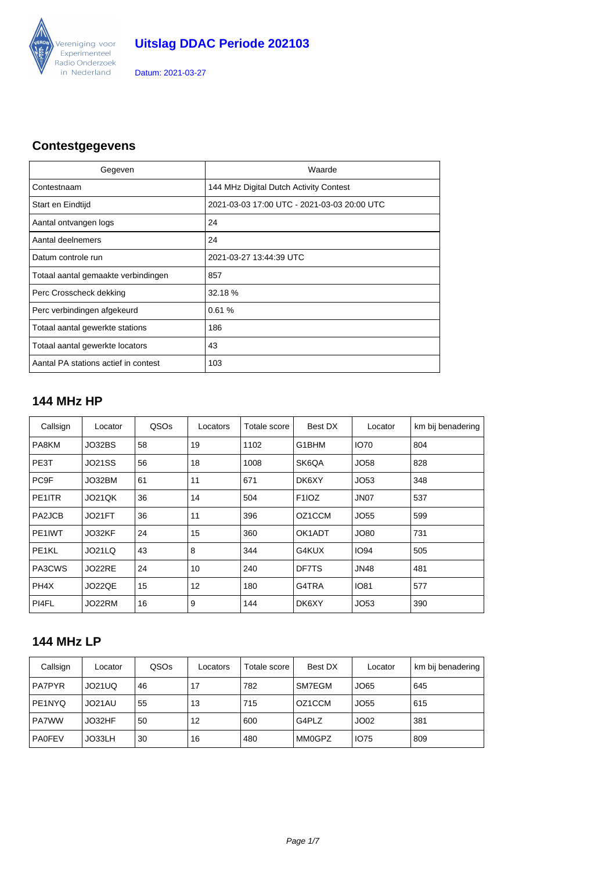

Datum: 2021-03-27

### **Contestgegevens**

| Gegeven                              | Waarde                                      |
|--------------------------------------|---------------------------------------------|
| Contestnaam                          | 144 MHz Digital Dutch Activity Contest      |
| Start en Eindtijd                    | 2021-03-03 17:00 UTC - 2021-03-03 20:00 UTC |
| Aantal ontvangen logs                | 24                                          |
| Aantal deelnemers                    | 24                                          |
| Datum controle run                   | 2021-03-27 13:44:39 UTC                     |
| Totaal aantal gemaakte verbindingen  | 857                                         |
| Perc Crosscheck dekking              | 32.18%                                      |
| Perc verbindingen afgekeurd          | 0.61%                                       |
| Totaal aantal gewerkte stations      | 186                                         |
| Totaal aantal gewerkte locators      | 43                                          |
| Aantal PA stations actief in contest | 103                                         |

#### **144 MHz HP**

| Callsign      | Locator       | QSOs | Locators | Totale score | Best DX      | Locator     | km bij benadering |
|---------------|---------------|------|----------|--------------|--------------|-------------|-------------------|
| PA8KM         | JO32BS        | 58   | 19       | 1102         | G1BHM        | <b>IO70</b> | 804               |
| PE3T          | <b>JO21SS</b> | 56   | 18       | 1008         | SK6QA        | JO58        | 828               |
| PC9F          | JO32BM        | 61   | 11       | 671          | DK6XY        | JO53        | 348               |
| PE1ITR        | JO21QK        | 36   | 14       | 504          | <b>F1IOZ</b> | <b>JN07</b> | 537               |
| <b>PA2JCB</b> | JO21FT        | 36   | 11       | 396          | OZ1CCM       | JO55        | 599               |
| PE1IWT        | JO32KF        | 24   | 15       | 360          | OK1ADT       | JO80        | 731               |
| PE1KL         | JO21LQ        | 43   | 8        | 344          | G4KUX        | <b>IO94</b> | 505               |
| PA3CWS        | JO22RE        | 24   | 10       | 240          | DF7TS        | <b>JN48</b> | 481               |
| PH4X          | JO22QE        | 15   | 12       | 180          | G4TRA        | <b>IO81</b> | 577               |
| PI4FL         | JO22RM        | 16   | 9        | 144          | DK6XY        | JO53        | 390               |

### **144 MHz LP**

| Callsign      | Locator | QSOs | Locators | Totale score | Best DX             | Locator          | km bij benadering |
|---------------|---------|------|----------|--------------|---------------------|------------------|-------------------|
| <b>PA7PYR</b> | JO21UQ  | 46   | 17       | 782          | SM7EGM              | JO65             | 645               |
| PE1NYQ        | JO21AU  | 55   | 13       | 715          | OZ <sub>1</sub> CCM | JO55             | 615               |
| <b>PA7WW</b>  | JO32HF  | 50   | 12       | 600          | G4PLZ               | JO <sub>02</sub> | 381               |
| <b>PA0FEV</b> | JO33LH  | 30   | 16       | 480          | <b>MMOGPZ</b>       | <b>IO75</b>      | 809               |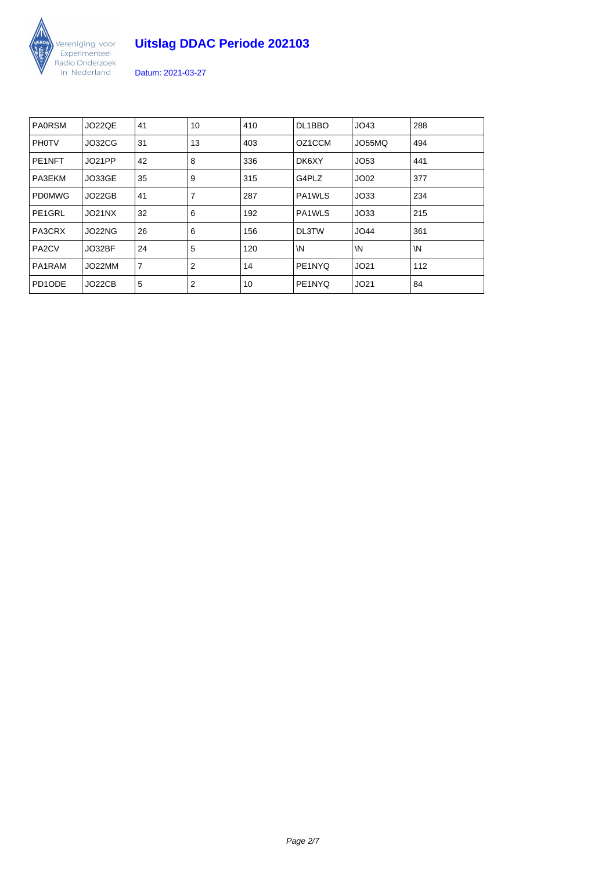

| <b>PA0RSM</b>                    | JO22QE | 41             | 10             | 410 | DL1BBO    | JO43      | 288       |
|----------------------------------|--------|----------------|----------------|-----|-----------|-----------|-----------|
| <b>PHOTV</b>                     | JO32CG | 31             | 13             | 403 | OZ1CCM    | JO55MQ    | 494       |
| PE1NFT                           | JO21PP | 42             | 8              | 336 | DK6XY     | JO53      | 441       |
| PA3EKM                           | JO33GE | 35             | 9              | 315 | G4PLZ     | JO02      | 377       |
| <b>PD0MWG</b>                    | JO22GB | 41             | $\overline{7}$ | 287 | PA1WLS    | JO33      | 234       |
| PE1GRL                           | JO21NX | 32             | 6              | 192 | PA1WLS    | JO33      | 215       |
| PA3CRX                           | JO22NG | 26             | 6              | 156 | DL3TW     | JO44      | 361       |
| PA <sub>2</sub> CV               | JO32BF | 24             | 5              | 120 | <b>\N</b> | <b>IN</b> | <b>IN</b> |
| PA1RAM                           | JO22MM | $\overline{7}$ | $\overline{2}$ | 14  | PE1NYQ    | JO21      | 112       |
| PD <sub>1</sub> O <sub>D</sub> E | JO22CB | 5              | $\overline{2}$ | 10  | PE1NYQ    | JO21      | 84        |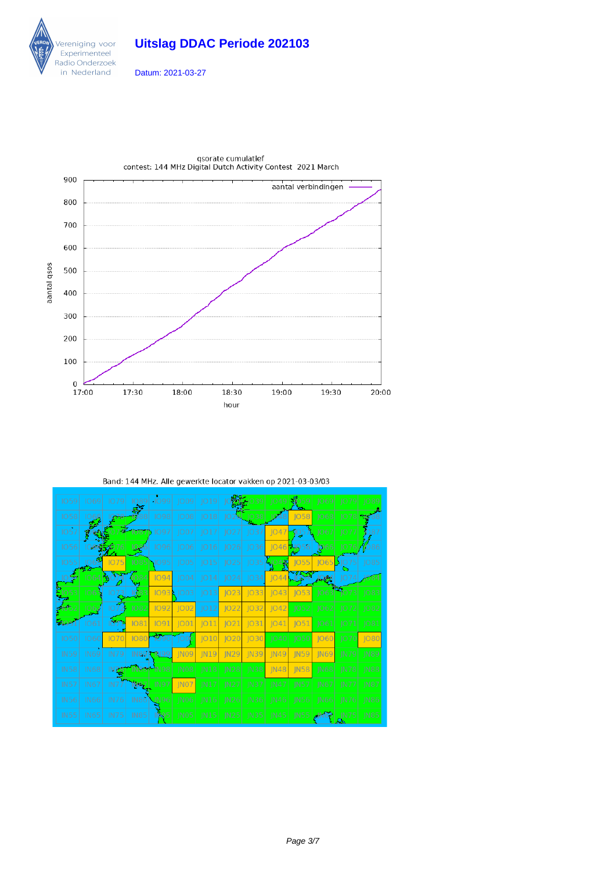



qsorate cumulatief<br>contest: 144 MHz Digital Dutch Activity Contest 2021 March

Band: 144 MHz. Alle gewerkte locator vakken op 2021-03-03/03

| 1059        | 1069        | 1079          | O89          | $-1099$          |                  | $JO09$ $JO19$ |             | <b>触</b> 1039    | 049                   | 3059         | 069         | 10791           | 089         |
|-------------|-------------|---------------|--------------|------------------|------------------|---------------|-------------|------------------|-----------------------|--------------|-------------|-----------------|-------------|
| <b>IO58</b> |             | 1278          |              | 1098             | 008              | 018           |             | JO28 1038        | 1048                  | O58          | 068         | O78             |             |
| <b>IO57</b> | ene,        |               |              | 1097             | 007              | JO17          | 027         | 037              | 047                   | $905\pi$     | 067         | 1077            | <b>1087</b> |
| 1056        |             | <b>BGS210</b> |              | 1096             | 006              | 016           | 026         | 036              |                       | JO46 2956    | 066         | 1076            |             |
| 1055        |             | <b>IO75</b>   | 10851        | 1095             | JO05             | JO15          | JO25        | 035              | ⁄√04 ह <mark>े</mark> | JO55         | <b>JO65</b> |                 | JO85        |
|             |             | 1064 3074     | $\sqrt{084}$ | <b>IO94</b>      | JO04             | JO14          | 024         | JO34             | JO44                  | <b>TOSA</b>  | 1084        | 074             | 1084        |
|             | 106         |               | 1083         |                  | 1093 003         | 013           | JO23        | 033              | 043                   | 053          |             | $ 063 $ $ 073 $ | 1083        |
| 1052        | 1062        | IO            | 1082         | <b>IO92</b>      | 002              | 012           | JO22        | 032              | 042                   | 1052         | 1062        | 10721           | 1082        |
|             | 1061        | <b>1071</b>   | <b>IO81</b>  | 1091             | 001              | 011           | 1021        | 031              | 041                   | 051          | 1061        | 1071            | 1081        |
| <b>IO50</b> | 1060        | <b>IO70</b>   | <b>IO80</b>  | 1090             |                  | JO10          | 020         | JO30             | 040                   | 1050         | <b>1060</b> | 1070            | <b>1080</b> |
| <b>IN59</b> | <b>IN69</b> | <b>IN79</b>   |              | IN89 N99         | JN <sub>09</sub> | JN19          | JN29        | <b>JN39</b>      | <b>IN49</b>           | JN59         | <b>IN69</b> | <b>IN79</b>     | <b>IN89</b> |
| <b>IN58</b> | <b>IN68</b> | IN 78         | 'IN          | IN 98            | IN <sub>08</sub> | N18           | IN28        | N38              | <b>IN48</b>           | <b>IN58</b>  | <b>IN68</b> | <b>IN78</b>     | <b>IN88</b> |
| <b>IN57</b> | <b>IN67</b> | IN7           | IN87         | <b>IN97</b>      | IN <sub>07</sub> | IN17          | <b>IN27</b> | IN37             | <b>IN47</b>           | <b>IN57</b>  | <b>IN67</b> | IN77            | <b>IN87</b> |
| <b>IN56</b> | <b>IN66</b> | <b>IN76</b>   |              | <b>IN86</b> JN96 | N06              | N16           | IN26        | IN <sub>36</sub> | IN46                  | <b>IN56</b>  | <b>IN66</b> | <b>IN76</b>     | <b>IN86</b> |
| <b>IN55</b> | <b>IN65</b> | <b>IN75</b>   | <b>IN85</b>  |                  | IN <sub>05</sub> | <b>IN15</b>   | IN25        | IN35             | N45                   | <b>IN551</b> |             |                 | <b>IN85</b> |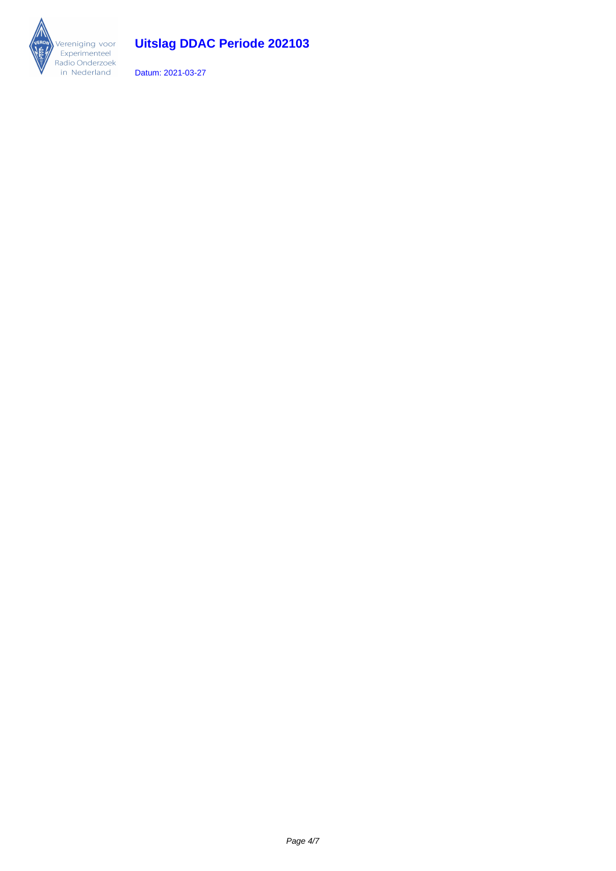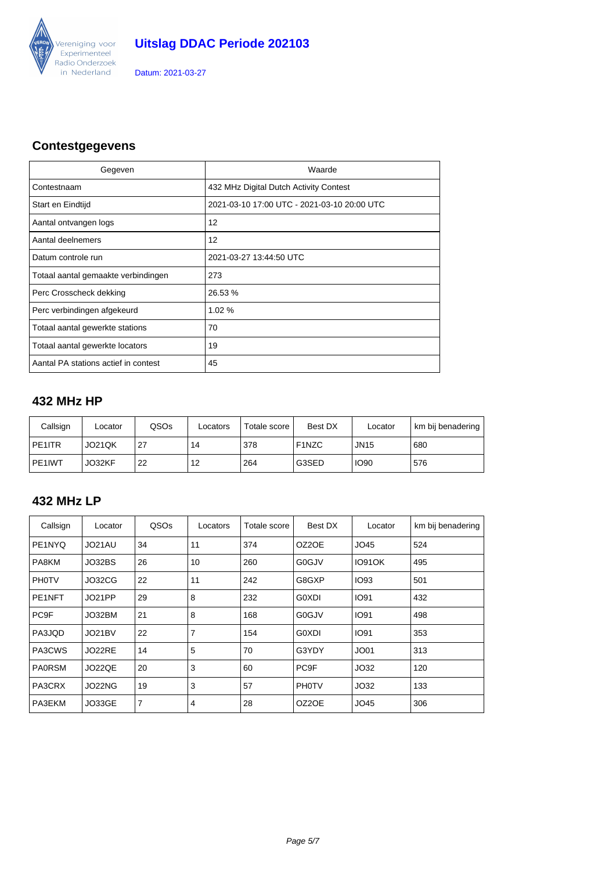

Datum: 2021-03-27

### **Contestgegevens**

| Gegeven                              | Waarde                                      |
|--------------------------------------|---------------------------------------------|
| Contestnaam                          | 432 MHz Digital Dutch Activity Contest      |
| Start en Eindtijd                    | 2021-03-10 17:00 UTC - 2021-03-10 20:00 UTC |
| Aantal ontvangen logs                | 12                                          |
| Aantal deelnemers                    | 12                                          |
| Datum controle run                   | 2021-03-27 13:44:50 UTC                     |
| Totaal aantal gemaakte verbindingen  | 273                                         |
| Perc Crosscheck dekking              | 26.53 %                                     |
| Perc verbindingen afgekeurd          | 1.02 %                                      |
| Totaal aantal gewerkte stations      | 70                                          |
| Totaal aantal gewerkte locators      | 19                                          |
| Aantal PA stations actief in contest | 45                                          |

### **432 MHz HP**

| Callsign | Locator       | QSOs | Locators | Totale score | Best DX                        | Locator     | km bij benadering |
|----------|---------------|------|----------|--------------|--------------------------------|-------------|-------------------|
| PE1ITR   | <b>JO21QK</b> | 27   | 14       | 378          | F <sub>1</sub> N <sub>ZC</sub> | <b>JN15</b> | 680               |
| l PE1IWT | JO32KF        | 22   | 12       | 264          | G3SED                          | <b>IO90</b> | 576               |

### **432 MHz LP**

| Callsign         | Locator | QSOs | Locators       | Totale score | Best DX          | Locator     | km bij benadering |
|------------------|---------|------|----------------|--------------|------------------|-------------|-------------------|
| PE1NYQ           | JO21AU  | 34   | 11             | 374          | OZ2OE            | JO45        | 524               |
| PA8KM            | JO32BS  | 26   | 10             | 260          | G0GJV            | IO91OK      | 495               |
| <b>PHOTV</b>     | JO32CG  | 22   | 11             | 242          | G8GXP            | <b>IO93</b> | 501               |
| PE1NFT           | JO21PP  | 29   | 8              | 232          | G0XDI            | <b>IO91</b> | 432               |
| PC <sub>9F</sub> | JO32BM  | 21   | 8              | 168          | G0GJV            | <b>IO91</b> | 498               |
| PA3JQD           | JO21BV  | 22   | $\overline{7}$ | 154          | G0XDI            | <b>IO91</b> | 353               |
| PA3CWS           | JO22RE  | 14   | 5              | 70           | G3YDY            | JO01        | 313               |
| <b>PA0RSM</b>    | JO22QE  | 20   | 3              | 60           | PC <sub>9F</sub> | JO32        | 120               |
| PA3CRX           | JO22NG  | 19   | 3              | 57           | <b>PHOTV</b>     | JO32        | 133               |
| PA3EKM           | JO33GE  | 7    | 4              | 28           | OZ2OE            | JO45        | 306               |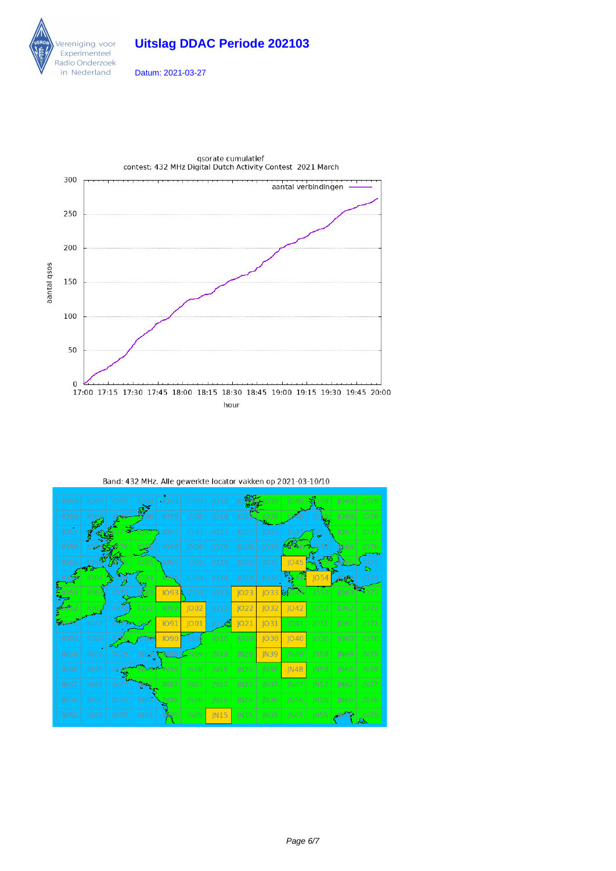



Datum: 2021-03-27



| 1059        | 1069        | 1079            | 1089               | $-1099$     | 1009             | 1019        | 图表          |                  | 1049                  |             | 1069         | 1079        |
|-------------|-------------|-----------------|--------------------|-------------|------------------|-------------|-------------|------------------|-----------------------|-------------|--------------|-------------|
| <b>IO58</b> |             | 1078            | <b>City</b>        | <b>1098</b> | JO08             | 018         | O           | 1038             |                       |             | ]068         | 1078        |
| 1057        |             |                 | IO 87              | 1097        | 1007             | 1017        | 1027        | IO.<br>3.        | 1047                  |             | 1067         | 1077        |
| <b>IO56</b> | ೧೯೯೯ರ       | 16              | 10 g (             | 1096        | JO06             | JO16        | IO26        | IO36             |                       | 56          | <b>D</b> 66  | 1076        |
| <b>IO55</b> |             | <b>DD</b>       | 1085               | 1095        | JO05             | JO15        | 025         | JO35             | 045                   | 065'        |              |             |
|             | 1064        |                 | ( $\overline{084}$ | 094         | 1004             | JO14        | 1024        | JO34             | 44 <sup>°</sup><br>70 | JO54        | <u>يوم ا</u> | 1074        |
| 2053        | IO6         |                 | <b>Q83</b>         | 1093R       | 1003             | 013         | IO23        | 033              | 84043                 | 1053        | 1063         | 1073        |
| 852         | 062         | IО              | 1082               | <b>IO92</b> | 1002             | 012         | 1022        | 032              | IO42                  | 1052        | 1062         | 1072        |
| 8051        | 1061        |                 |                    | 1091        | 1001             | 1018        | JO21        | 031              | 1041                  | 1051        | 1061         | 1071        |
| 1050        | 1060        |                 |                    | <b>IO90</b> |                  | 010         | 1020        | JO30             | 040                   | 1050        | 1060         | 1070        |
| <b>IN59</b> | <b>IN69</b> | <b>IN79</b>     | <b>IN89</b>        | <b>IN99</b> | CNO9             | <b>IN19</b> | IN29        | <b>IN39</b>      | <b>IN49</b>           | <b>IN59</b> | <b>IN69</b>  | <b>IN79</b> |
| <b>IN58</b> | <b>IN68</b> | IN 78           |                    | IN 98       | IN <sub>08</sub> | <b>IN18</b> | <b>IN28</b> | IN38             | IN48                  | <b>IN58</b> | <b>IN68</b>  | <b>IN78</b> |
| <b>IN57</b> | <b>IN67</b> | IN <sub>7</sub> | N87                | <b>IN97</b> | IN <sub>07</sub> | N17         | <b>IN27</b> | <b>IN37</b>      | <b>IN47</b>           | <b>IN57</b> | <b>IN67</b>  | <b>IN77</b> |
| <b>IN56</b> | <b>IN66</b> | <b>IN76</b>     | <b>IN86</b>        | JN 96       | IN <sub>06</sub> | <b>IN16</b> | <b>IN26</b> | IN <sub>36</sub> | <b>IN46</b>           | <b>IN56</b> | <b>IN66</b>  | <b>IN76</b> |
| <b>IN55</b> | <b>IN65</b> | <b>IN75</b>     | <b>IN85</b>        | NO 5        | IN <sub>05</sub> | IN15        | <b>IN25</b> | IN <sub>35</sub> | IN45                  | JN55        |              | IN75        |

Band: 432 MHz. Alle gewerkte locator vakken op 2021-03-10/10